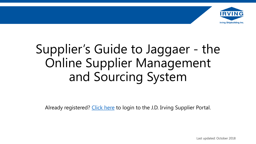

## Supplier's Guide to Jaggaer - the Online Supplier Management and Sourcing System

Already registered? [Click here](https://solutions.sciquest.com/apps/Router/SupplierLogin?CustOrg=JDIrving) to login to the J.D. Irving Supplier Portal.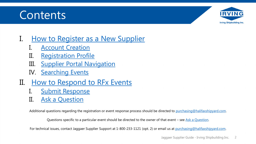## **Contents**



- I. [How to Register as a New Supplier](#page-2-0)
	- **[Account Creation](#page-3-0)**
	- II. [Registration Profile](#page-6-0)
	- III. [Supplier Portal Navigation](#page-10-0)
	- IV. [Searching Events](#page-11-0)
- II. [How to Respond to RFx](#page-12-0) Events
	- [Submit Response](#page-13-0)
	- II. [Ask a Question](#page-22-0)

Additional questions regarding the registration or event response process should be directed to [purchasing@halifaxshipyard.com](mailto:purchasing@halifaxshipyard.com).

Questions specific to a particular event should be directed to the owner of that event – see Ask a Question.

For technical issues, contact Jaggaer Supplier Support at 1-800-233-1121 (opt. 2) or email us at [purchasing@halifaxshipyard.com.](mailto:purchasing@halifaxshipyard.com)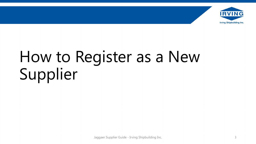

# <span id="page-2-0"></span>How to Register as a New Supplier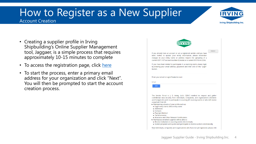### <span id="page-3-0"></span>How to Register as a New Supplier Account Creation



- Creating a supplier profile in Irving Shipbuilding's Online Supplier Management tool, Jaggaer, is a simple process that requires approximately 10-15 minutes to complete
- To access the registration page, click [here](https://solutions.sciquest.com/apps/Router/SupplierLogin?CustOrg=JDIrving)
- To start the process, enter a primary email address for your organization and click "Next". You will then be prompted to start the account creation process.

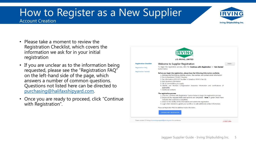### How to Register as a New Supplier Account Creation



- Please take a moment to review the Registration Checklist, which covers the information we ask for in your initial registration
- If you are unclear as to the information being requested, please see the "Registration FAQ" on the left-hand side of the page, which answers a number of common questions. Questions not listed here can be directed to [purchasing@halifaxshipyard.com](mailto:purchasing@halifaxshipyard.com).
- Once you are ready to proceed, click "Continue with Registration".

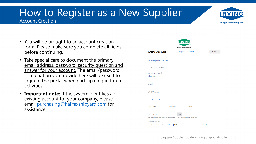### How to Register as a New Supplier Account Creation



- You will be brought to an account creation form. Please make sure you complete all fields before continuing.
- Take special care to document the primary email address, password, security question and answer for your account. The email/password combination you provide here will be used to login to the portal when participating in future activities.
- **Important note:** if the system identifies an existing account for your company, please email [purchasing@halifaxshipyard.com](mailto:purchasing@halifaxshipyard.com) for assistance.

| <b>Create Account</b>      |            | <b>Registration Tutorial</b>                                                      | ENGLISH - |
|----------------------------|------------|-----------------------------------------------------------------------------------|-----------|
| What company are you with? |            |                                                                                   |           |
| Legal Company Name*        |            |                                                                                   |           |
| Tax ID Number Type @       |            |                                                                                   |           |
| Choose your option         |            |                                                                                   |           |
| Tax Id                     |            |                                                                                   |           |
| <b>DUNS Number</b>         |            |                                                                                   |           |
| <b>Your Contact Info</b>   |            |                                                                                   |           |
| First Name*                | Last Name* | Title                                                                             |           |
| Phone Number*              | ext.       |                                                                                   |           |
|                            |            | International phone numbers must begin with + (look here's an update to the text) |           |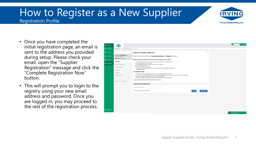

- <span id="page-6-0"></span>• Once you have completed the initial registration page, an email is sent to the address you provided during setup. Please check your email, open the "Supplier Registration" message and click the "Complete Registration Now" button.
- This will prompt you to login to the registry using your new email address and password. Once you are logged in, you may proceed to the rest of the registration process.

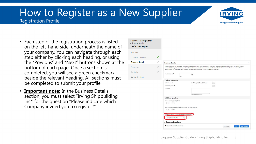

- Each step of the registration process is listed on the left-hand side, underneath the name of your company. You can navigate through each step either by clicking each heading, or using the "Previous" and "Next" buttons shown at the bottom of each page. Once a section is completed, you will see a green checkmark beside the relevant heading. All sections must be completed to submit your profile.
- **Important note:** In the Business Details section, you must select "Irving Shipbuilding Inc." for the question "Please indicate which Company invited you to register?".

| Registration In Progress for:<br>J. D. Irving, Limited |               |                                                                                      |             |                                                                                                                                                                                                                                                                                                                                                                                                                                                    |      |                      |                     |
|--------------------------------------------------------|---------------|--------------------------------------------------------------------------------------|-------------|----------------------------------------------------------------------------------------------------------------------------------------------------------------------------------------------------------------------------------------------------------------------------------------------------------------------------------------------------------------------------------------------------------------------------------------------------|------|----------------------|---------------------|
| 1 of 4 Steps Complete                                  |               |                                                                                      |             |                                                                                                                                                                                                                                                                                                                                                                                                                                                    |      |                      |                     |
| Welcome                                                |               |                                                                                      |             |                                                                                                                                                                                                                                                                                                                                                                                                                                                    |      |                      |                     |
| <b>Company Overview</b>                                | ✔             |                                                                                      |             |                                                                                                                                                                                                                                                                                                                                                                                                                                                    |      |                      |                     |
| <b>Business Details</b>                                | $\mathcal{S}$ | <b>Business Details</b>                                                              |             |                                                                                                                                                                                                                                                                                                                                                                                                                                                    |      |                      |                     |
| Addresses                                              | $\mathcal{A}$ |                                                                                      |             | The information on this page allows us to track important details about your company, such as the areas where you operate and the products and services that you<br>provide. Additionally, this data is used to determine whether or not your business meets the small business size standards as defined by the U.S. Small Business<br>Administration. The SBA standards are based on your NAICS code and annual revenue, or number of employees. |      |                      |                     |
| Contacts                                               | $\mathcal{J}$ | Year Established *                                                                   |             | 目                                                                                                                                                                                                                                                                                                                                                                                                                                                  |      |                      |                     |
| Certify & Submit                                       |               |                                                                                      | <b>yyyy</b> |                                                                                                                                                                                                                                                                                                                                                                                                                                                    |      |                      |                     |
|                                                        |               | <b>Products and Services</b>                                                         |             |                                                                                                                                                                                                                                                                                                                                                                                                                                                    |      |                      |                     |
|                                                        |               | NAICS Codes @                                                                        |             | No Primary NAICS Code Selected                                                                                                                                                                                                                                                                                                                                                                                                                     | Edit |                      |                     |
|                                                        |               | Commodity Codes <sup>*</sup>                                                         |             |                                                                                                                                                                                                                                                                                                                                                                                                                                                    | Edit |                      |                     |
|                                                        |               | Keywords                                                                             |             |                                                                                                                                                                                                                                                                                                                                                                                                                                                    |      |                      |                     |
|                                                        |               |                                                                                      |             | 700 characters remaining                                                                                                                                                                                                                                                                                                                                                                                                                           |      |                      |                     |
|                                                        |               | <b>Additional Questions</b>                                                          |             |                                                                                                                                                                                                                                                                                                                                                                                                                                                    |      |                      |                     |
|                                                        |               | Is your company publicly traded<br>◎ Yes ◎ No                                        |             |                                                                                                                                                                                                                                                                                                                                                                                                                                                    |      |                      |                     |
|                                                        |               | Is your company currently doing business with any Irving company<br>◎ Yes ◎ No       |             |                                                                                                                                                                                                                                                                                                                                                                                                                                                    |      |                      |                     |
|                                                        |               | Please indicate which Company invited you to register? *<br>Irving Shipbuilding Inc. |             |                                                                                                                                                                                                                                                                                                                                                                                                                                                    |      |                      |                     |
|                                                        |               | e-Business Readiness                                                                 |             |                                                                                                                                                                                                                                                                                                                                                                                                                                                    |      |                      |                     |
|                                                        |               | ★ Required to Complete Registration                                                  |             |                                                                                                                                                                                                                                                                                                                                                                                                                                                    |      | « Previous<br>Next > | <b>Save Changes</b> |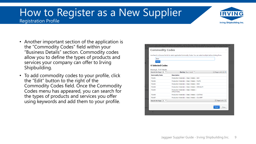

- Another important section of the application is the "Commodity Codes" field within your "Business Details" section. Commodity codes allow you to define the types of products and services your company can offer to Irving Shipbuilding.
- To add commodity codes to your profile, click the "Edit" button to the right of the Commodity Codes field. Once the Commodity Codes menu has appeared, you can search for the types of products and services you offer using keywords and add them to your profile.

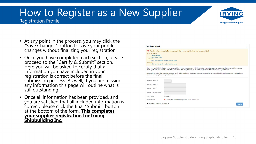

- At any point in the process, you may click the "Save Changes" button to save your profile changes without finalizing your registration.
- Once you have completed each section, please proceed to the "Certify & Submit" section. Here you will be asked to certify that all information you have included in your registration is correct before the final submission process. As well, if you are missing any information this page will outline what is still outstanding.
- Once all information has been provided, and you are satisfied that all included information is correct, please click the final "Submit" button at the bottom of the form. **This completes your supplier registration for Irving Shipbuilding Inc.**

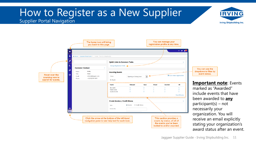## <span id="page-10-0"></span>How to Register as a New Supplier

#### Supplier Portal Navigation

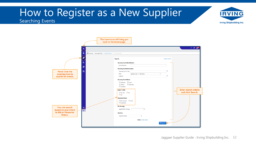### <span id="page-11-0"></span>How to Register as a New Supplier Searching Events



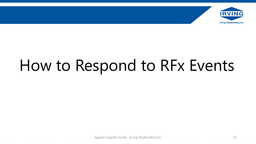<span id="page-12-0"></span>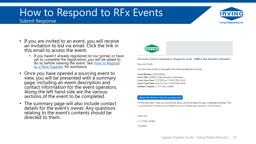### <span id="page-13-0"></span>How to Respond to RFx Events Submit Response



- If you are invited to an event, you will receive an invitation to bid via email. Click the link in this email to access the event.
	- If you haven't already registered on our portal, or have yet to complete the registration, you will be asked to do so before viewing the event. See <u>How to Register</u> as a New Supplier for assistance.
- Once you have opened a sourcing event to view, you will be presented with a summary page, including an event description and contact information for the event operators. Along the left hand side are the various sections of the event to be completed.
- The summary page will also include contact details for the event's owner. Any questions relating to the event's contents should be directed to them.



You've been invited to participate in "Request for Quote - SAMPLE Rate Renewal Confirmation"

Dear John Smith

You have been invited to participate in the following Request for Quote.

Event Number: ISIOH-00294 Event Title: SAMPLE Rate Renewal Confirmation Event Open Date: 7/17/2018 at 11:00:00 PM -04:00 Event Close Date: 8/12/2018 at 11:00:00 PM -04:00 Issuing Company: J. D. Irving, Limited

#### Please click the link to view the sourcing event

For first time users, when you click the link above you will be taken through a registration process. This is a process that will allow you to create an account and then gain access to view the event

Thank You, J. D. Irving, Limited 7/19/2018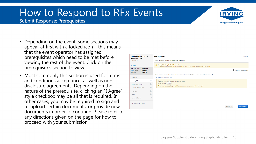

#### Submit Response: Prerequisites

- Depending on the event, some sections may appear at first with a locked icon – this means that the event operator has assigned prerequisites which need to be met before viewing the rest of the event. Click on the prerequisites section to view.
- Most commonly this section is used for terms and conditions acceptance, as well as nondisclosure agreements. Depending on the nature of the prerequisite, clicking an "I Agree" style checkbox may be all that is required. In other cases, you may be required to sign and re-upload certain documents, or provide new documents in order to continue. Please refer to any directions given on the page for how to proceed with your submission.

| <b>Supplier Instructions</b>                                                                           |   | <b>Prerequisites</b>                                                                                                                         |            | History ?              |  |  |  |  |  |
|--------------------------------------------------------------------------------------------------------|---|----------------------------------------------------------------------------------------------------------------------------------------------|------------|------------------------|--|--|--|--|--|
| <b>Creation Test</b><br>ISIOH-00179                                                                    |   | Please review and agree to the prerequisites listed below.                                                                                   |            |                        |  |  |  |  |  |
| <b>Event Details</b>                                                                                   |   | ▲ Prerequisites Required to View Event<br>- You must complete the mandatory prerequisites before you can view all the details of this event. |            |                        |  |  |  |  |  |
| <b>Not Started</b><br>Response Status:<br>Intent To Bid:<br>Not Set /<br>0.00 CAD<br><b>Bid Total:</b> |   |                                                                                                                                              | a          | Required to View Event |  |  |  |  |  |
|                                                                                                        |   | Please read and agree to the attached terms and conditions, and attached a signed copy of these terms. <b>a</b>                              |            |                        |  |  |  |  |  |
| Summary                                                                                                |   | 土 Terms and Conditions Test                                                                                                                  |            |                        |  |  |  |  |  |
| <b>Prerequisites</b>                                                                                   | ے | I certify that I have read and agree to the terms.                                                                                           |            |                        |  |  |  |  |  |
| <b>Buyer Attachments</b>                                                                               | A | No File Attached Upload                                                                                                                      |            |                        |  |  |  |  |  |
| <b>Supplier Attachments</b>                                                                            | A | ▲ You must complete this prerequisite and upload an attachment to view this event.                                                           |            |                        |  |  |  |  |  |
| Questions                                                                                              | A |                                                                                                                                              |            |                        |  |  |  |  |  |
| Items                                                                                                  | A |                                                                                                                                              |            |                        |  |  |  |  |  |
| Review & Submit                                                                                        | ℐ |                                                                                                                                              |            |                        |  |  |  |  |  |
| My Exports and Imports                                                                                 |   |                                                                                                                                              |            |                        |  |  |  |  |  |
|                                                                                                        |   |                                                                                                                                              | < Previous | <b>Save Progress</b>   |  |  |  |  |  |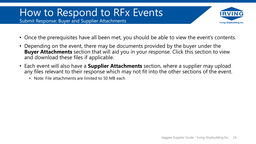Submit Response: Buyer and Supplier Attachments



- Once the prerequisites have all been met, you should be able to view the event's contents.
- Depending on the event, there may be documents provided by the buyer under the **Buyer Attachments** section that will aid you in your response. Click this section to view and download these files if applicable.
- Each event will also have a **Supplier Attachments** section, where a supplier may upload any files relevant to their response which may not fit into the other sections of the event.
	- Note: File attachments are limited to 50 MB each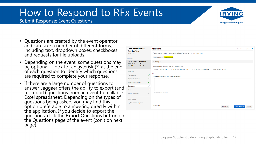

#### Submit Response: Event Questions

- Questions are created by the event operator and can take a number of different forms, including text, dropdown boxes, checkboxes and requests for file uploads.
- Depending on the event, some questions may be optional – look for an asterisk (\*) at the end of each question to identify which questions are required to complete your response.
- If there are a large number of questions to answer, Jaggaer offers the ability to export (and re-import) questions from an event to a fillable Excel spreadsheet. Depending on the types of questions being asked, you may find this option preferable to answering directly within the application. If you decide to export the questions, click the Export Questions button on the Questions page of the event (con't on next page)

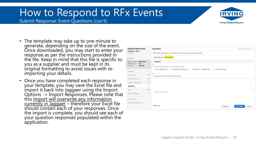Submit Response: Event Questions (con't)



- The template may take up to one minute to generate, depending on the size of the event. Once downloaded, you may start to enter your response as per the instructions provided in the file. Keep in mind that this file is specific to you as a supplier and must be kept in its original formatting to avoid issues with reimporting your details.
- Once you have completed each response in your template, you may save the Excel file and import it back into Jaggaer using the Import Options -> Import Responses. Please note that this import will overwrite any information currently in Jaggaer - therefore your Excel file should contain each of your responses. Once the import is complete, you should see each of your question responses populated within the application.

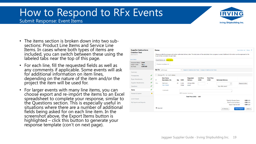



- The items section is broken down into two subsections: Product Line Items and Service Line Items. In cases where both types of items are included, you can switch between these using the labeled tabs near the top of this page.
- For each line, fill the requested fields as well as any comments if applicable. Some events will ask for additional information on item lines, depending on the nature of the item and/or the project the item will be used for.
- For larger events with many line items, you can choose export and re-import the items to an Excel spreadsheet to complete your response, similar to the Questions section. This is especially useful in situations where there are a number of additional fields being asked for on each line item. In the screenshot above, the Export Items button is highlighted – click this button to generate your response template (con't on next page).

| <b>Supplier Instructions</b>                                                       | <b>Items</b>      |                                               |     |            |                                                                         |                            |                             |                                                                                                                                                                             | Event Actions $\blacktriangleright$ History 3 |
|------------------------------------------------------------------------------------|-------------------|-----------------------------------------------|-----|------------|-------------------------------------------------------------------------|----------------------------|-----------------------------|-----------------------------------------------------------------------------------------------------------------------------------------------------------------------------|-----------------------------------------------|
| <b>Creation Test</b><br><b>ISIOH-00179</b>                                         |                   | buyer in the comments for each item.          |     |            |                                                                         |                            |                             | Please provide the price per unit and an estimated delivery date. The total price will be calculated when progress is saved. Additional information can be expressed to the |                                               |
| <b>Event Details</b>                                                               |                   | Import Options v Export Items                 |     |            |                                                                         |                            |                             |                                                                                                                                                                             |                                               |
| Response Status: Draft<br>Intent To Bid:<br>Yes /<br>0.00 CAD<br><b>Bid Total:</b> |                   | Product Line Items (1)                        |     |            |                                                                         |                            |                             |                                                                                                                                                                             |                                               |
|                                                                                    |                   | <b>Go To</b> All Groups                       |     | ▼          | Expand All Additional Item Fields   Collapse All Additional Item Fields |                            |                             |                                                                                                                                                                             |                                               |
| Summary                                                                            |                   |                                               |     |            |                                                                         |                            |                             |                                                                                                                                                                             |                                               |
| Prerequisites                                                                      | ✔                 | Group P1 (1 - 1 of 1 items)                   |     |            |                                                                         |                            |                             |                                                                                                                                                                             |                                               |
| <b>Buyer Attachments</b>                                                           | $\checkmark$<br>Ħ | <b>Item Name.</b><br><b>Description, Etc.</b> | Qty | <b>UOM</b> | <b>Requested</b><br><b>Delivery</b>                                     | <b>Unit Price</b><br>(CAD) | <b>Total Price</b><br>(CAD) | <b>Estimated Delivery</b>                                                                                                                                                   |                                               |
| <b>Supplier Attachments</b>                                                        | ✔<br>P1.1         | Test Line 1                                   | 25  | Cubic      | 28 days after                                                           |                            | ۰                           | $\blacktriangle$<br>$\boldsymbol{\mathrm{v}}$                                                                                                                               | Respond to Item                               |
| Questions                                                                          | ✔                 | <b>View Details</b>                           |     | Meter      | award                                                                   |                            |                             | days after award                                                                                                                                                            |                                               |
| <b>Items</b>                                                                       | J                 | Comment:                                      |     |            |                                                                         |                            |                             |                                                                                                                                                                             |                                               |
| Review & Submit                                                                    | Δ                 |                                               |     |            | 1000 characters remaining                                               |                            |                             |                                                                                                                                                                             |                                               |
|                                                                                    |                   |                                               |     |            | <b>Total Price (CAD)</b>                                                | 0.00                       |                             |                                                                                                                                                                             |                                               |
| Q & A Board                                                                        |                   |                                               |     |            |                                                                         |                            |                             | <b>Total for Product Items</b>                                                                                                                                              | $0.00$ CAD                                    |
| My Exports and Imports                                                             |                   |                                               |     |            |                                                                         |                            |                             | <b>Total for Service Items</b>                                                                                                                                              | $0.00$ CAD                                    |
|                                                                                    |                   |                                               |     |            |                                                                         |                            |                             | <b>Grand Total for Bid</b>                                                                                                                                                  | $0.00$ CAD                                    |
|                                                                                    | $\star$ Required  |                                               |     |            |                                                                         |                            |                             | < Previous                                                                                                                                                                  | <b>Save Progress</b><br>$Next$ >              |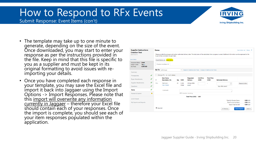Submit Response: Event Items (con't)



- The template may take up to one minute to generate, depending on the size of the event. Once downloaded, you may start to enter your response as per the instructions provided in the file. Keep in mind that this file is specific to you as a supplier and must be kept in its original formatting to avoid issues with reimporting your details.
- Once you have completed each response in your template, you may save the Excel file and import it back into Jaggaer using the Import Options -> Import Responses. Please note that this import will overwrite any information currently in Jaggaer – therefore your Excel file should contain each of your responses. Once the import is complete, you should see each of your item responses populated within the application.

| <b>Supplier Instructions</b>                                                              |        | <b>Items</b> |                                               |     |                         |                                                                         |                            |                             |                                                                                                                                                                             | Event Actions $\blacktriangleright$ History ? |
|-------------------------------------------------------------------------------------------|--------|--------------|-----------------------------------------------|-----|-------------------------|-------------------------------------------------------------------------|----------------------------|-----------------------------|-----------------------------------------------------------------------------------------------------------------------------------------------------------------------------|-----------------------------------------------|
| <b>Creation Test</b><br><b>ISIOH-00179</b>                                                |        |              | buyer in the comments for each item.          |     |                         |                                                                         |                            |                             | Please provide the price per unit and an estimated delivery date. The total price will be calculated when progress is saved. Additional information can be expressed to the |                                               |
| <b>Fvent Details</b>                                                                      |        |              | Import Options v Export Items                 |     |                         |                                                                         |                            |                             |                                                                                                                                                                             |                                               |
| Response Status: Draft<br>Intent To Bid:<br>Yes $\angle$<br>0.00 CAD<br><b>Bid Total:</b> |        |              | Product Line Items (1)                        |     |                         |                                                                         |                            |                             |                                                                                                                                                                             |                                               |
|                                                                                           |        | Go To        | All Groups                                    |     | $\overline{\mathbf{v}}$ | Expand All Additional Item Fields   Collapse All Additional Item Fields |                            |                             |                                                                                                                                                                             |                                               |
| Summary                                                                                   |        |              |                                               |     |                         |                                                                         |                            |                             |                                                                                                                                                                             |                                               |
| Prerequisites                                                                             | ✔      |              | Group P1 (1 - 1 of 1 items)                   |     |                         |                                                                         |                            |                             |                                                                                                                                                                             |                                               |
| <b>Buyer Attachments</b>                                                                  | ✔      | #            | <b>Item Name.</b><br><b>Description, Etc.</b> | Qty | <b>UOM</b>              | <b>Requested</b><br><b>Delivery</b>                                     | <b>Unit Price</b><br>(CAD) | <b>Total Price</b><br>(CAD) | <b>Estimated Delivery</b>                                                                                                                                                   |                                               |
| <b>Supplier Attachments</b><br>Questions                                                  | ✔<br>✔ | P1.1         | Test Line 1<br><b>View Details</b>            | 25  | Cubic<br>Meter          | 28 days after<br>award                                                  |                            |                             | $\blacktriangle$<br>$\pmb{\mathrm{v}}$<br>days after award                                                                                                                  | Respond to Item                               |
| <b>Items</b>                                                                              | J      |              | Comment:                                      |     |                         |                                                                         |                            |                             |                                                                                                                                                                             |                                               |
| Review & Submit                                                                           | Δ      |              |                                               |     |                         | 1000 characters remaining                                               |                            |                             |                                                                                                                                                                             |                                               |
|                                                                                           |        |              |                                               |     |                         | <b>Total Price (CAD)</b>                                                | 0.00                       |                             |                                                                                                                                                                             |                                               |
| Q & A Board                                                                               |        |              |                                               |     |                         |                                                                         |                            |                             | <b>Total for Product Items</b>                                                                                                                                              | $0.00$ CAD                                    |
| My Exports and Imports                                                                    |        |              |                                               |     |                         |                                                                         |                            |                             | <b>Total for Service Items</b>                                                                                                                                              | $0.00$ CAD                                    |
|                                                                                           |        |              |                                               |     |                         |                                                                         |                            |                             | <b>Grand Total for Bid</b>                                                                                                                                                  | $0.00$ CAD                                    |
|                                                                                           |        | * Required   |                                               |     |                         |                                                                         |                            |                             | < Previous                                                                                                                                                                  | <b>Save Progress</b><br>$Next$ >              |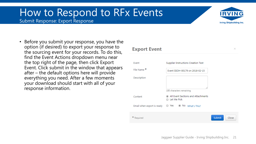Submit Response: Export Response



 $\times$ 

• Before you submit your response, you have the option (if desired) to export your response to the sourcing event for your records. To do this, find the Event Actions dropdown menu near the top right of the page, then click Export Event. Click submit in the window that appears after – the default options here will provide everything you need. After a few moments your download should start with all of your response information.

#### **Export Event**

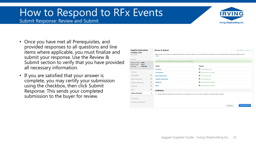

Submit Response: Review and Submit

- Once you have met all Prerequisites, and provided responses to all questions and line items where applicable, you must finalize and submit your response. Use the Review & Submit section to verify that you have provided all necessary information.
- If you are satisfied that your answer is complete, you may certify your submission using the checkbox, then click Submit Response. This sends your completed submission to the buyer for review.

| <b>Supplier Instructions</b>                                    | <b>Review &amp; Submit</b>           |                                                                   | Event Actions $\blacktriangleright$ History ?                                                                                                                         |  |
|-----------------------------------------------------------------|--------------------------------------|-------------------------------------------------------------------|-----------------------------------------------------------------------------------------------------------------------------------------------------------------------|--|
| <b>Creation Test</b><br><b>ISIOH-00179</b>                      | closed.                              |                                                                   | Please review and submit your response after all errors have been cleared. You will still be able to come back to the event and edit your response until the event is |  |
| <b>Event Details</b>                                            |                                      |                                                                   |                                                                                                                                                                       |  |
| <b>Draft</b><br>Response Status:                                |                                      | All sections are now complete, and you may submit your bid below. |                                                                                                                                                                       |  |
| Intent To Bid:<br>Yes $\angle$<br>0.00 CAD<br><b>Bid Total:</b> | <b>Section</b>                       |                                                                   | <b>Progress</b>                                                                                                                                                       |  |
|                                                                 | <b>Summary</b>                       |                                                                   | No Required fields                                                                                                                                                    |  |
| Summary                                                         | <b>Prerequisites</b>                 |                                                                   | Required fields complete                                                                                                                                              |  |
| Prerequisites                                                   | ✔<br><b>Buyer Attachments</b>        |                                                                   | No Required fields                                                                                                                                                    |  |
| <b>Buyer Attachments</b>                                        | ✔<br><b>Supplier Attachments</b>     |                                                                   | No Required fields                                                                                                                                                    |  |
| <b>Supplier Attachments</b>                                     | ✔<br>Questions                       |                                                                   | Required fields complete                                                                                                                                              |  |
| Questions                                                       | Items<br>$\checkmark$                |                                                                   | Required fields complete                                                                                                                                              |  |
| Items                                                           | $\checkmark$<br><b>Certification</b> |                                                                   |                                                                                                                                                                       |  |
| <b>Review &amp; Submit</b>                                      | ▲                                    |                                                                   | I certify that the statements and information in this response are true and correct to the best of my knowledge and belief.                                           |  |
| Q & A Board                                                     |                                      |                                                                   |                                                                                                                                                                       |  |
|                                                                 |                                      |                                                                   |                                                                                                                                                                       |  |
| My Exports and Imports                                          |                                      |                                                                   |                                                                                                                                                                       |  |
|                                                                 |                                      |                                                                   | <b>Submit Response</b><br>< Previous                                                                                                                                  |  |